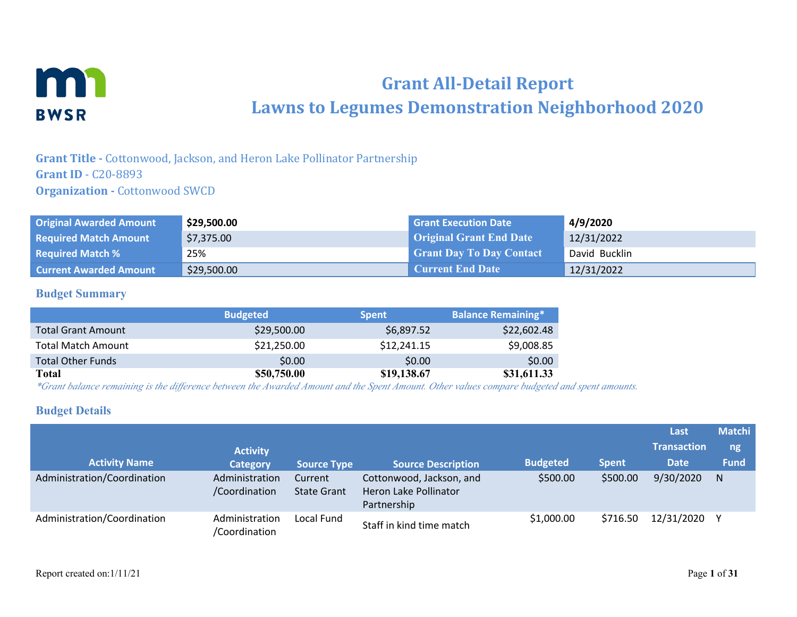

# **Grant All-Detail Report Lawns to Legumes Demonstration Neighborhood 2020**

**Grant Title -** Cottonwood, Jackson, and Heron Lake Pollinator Partnership **Grant ID** - C20-8893 **Organization - Cottonwood SWCD** 

| <b>Original Awarded Amount</b> | \$29,500.00 | <b>Grant Execution Date</b>     | 4/9/2020      |
|--------------------------------|-------------|---------------------------------|---------------|
| <b>Required Match Amount</b>   | \$7,375.00  | <b>Original Grant End Date</b>  | 12/31/2022    |
| <b>Required Match %</b>        | 25%         | <b>Grant Day To Day Contact</b> | David Bucklin |
| <b>Current Awarded Amount</b>  | \$29,500.00 | <b>Current End Date</b>         | 12/31/2022    |

## **Budget Summary**

|                           | <b>Budgeted</b> | <b>Spent</b> | <b>Balance Remaining*</b> |
|---------------------------|-----------------|--------------|---------------------------|
| <b>Total Grant Amount</b> | \$29,500.00     | \$6,897.52   | \$22,602.48               |
| <b>Total Match Amount</b> | \$21,250.00     | \$12,241.15  | \$9,008.85                |
| <b>Total Other Funds</b>  | \$0.00          | \$0.00       | \$0.00                    |
| Total                     | \$50,750.00     | \$19,138.67  | \$31,611.33               |

*\*Grant balance remaining is the difference between the Awarded Amount and the Spent Amount. Other values compare budgeted and spent amounts.*

### **Budget Details**

|                             |                                 |                               |                                                                  |                 |              | Last               | <b>Matchi</b> |
|-----------------------------|---------------------------------|-------------------------------|------------------------------------------------------------------|-----------------|--------------|--------------------|---------------|
|                             | <b>Activity</b>                 |                               |                                                                  |                 |              | <b>Transaction</b> | ng            |
| <b>Activity Name</b>        | <b>Category</b>                 | <b>Source Type</b>            | <b>Source Description</b>                                        | <b>Budgeted</b> | <b>Spent</b> | <b>Date</b>        | <b>Fund</b>   |
| Administration/Coordination | Administration<br>/Coordination | Current<br><b>State Grant</b> | Cottonwood, Jackson, and<br>Heron Lake Pollinator<br>Partnership | \$500.00        | \$500.00     | 9/30/2020          | N.            |
| Administration/Coordination | Administration<br>/Coordination | Local Fund                    | Staff in kind time match                                         | \$1,000.00      | \$716.50     | 12/31/2020         |               |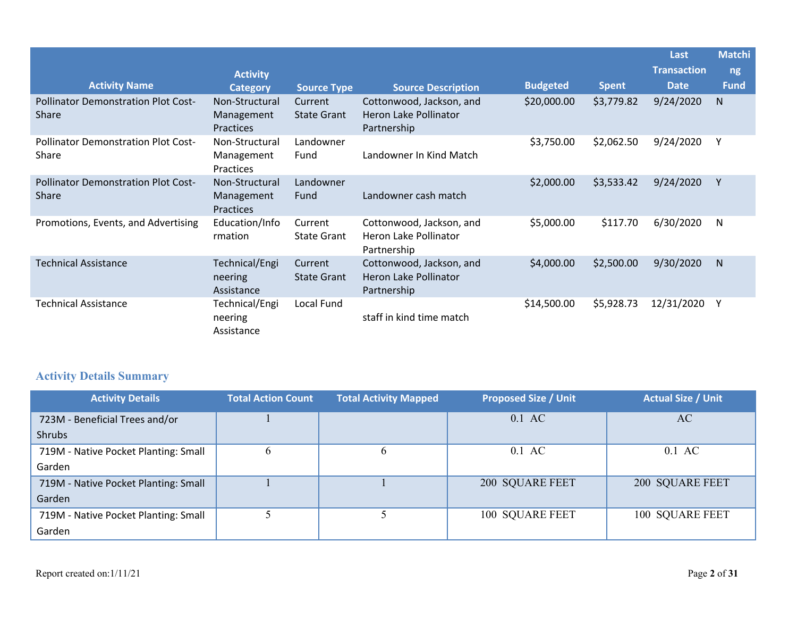|                                                     |                                                  |                               |                                                                  |                 |              | Last               | Matchi <sup>'</sup> |
|-----------------------------------------------------|--------------------------------------------------|-------------------------------|------------------------------------------------------------------|-----------------|--------------|--------------------|---------------------|
|                                                     | <b>Activity</b>                                  |                               |                                                                  |                 |              | <b>Transaction</b> | ng                  |
| <b>Activity Name</b>                                | <b>Category</b>                                  | <b>Source Type</b>            | <b>Source Description</b>                                        | <b>Budgeted</b> | <b>Spent</b> | <b>Date</b>        | <b>Fund</b>         |
| <b>Pollinator Demonstration Plot Cost-</b><br>Share | Non-Structural<br>Management<br><b>Practices</b> | Current<br><b>State Grant</b> | Cottonwood, Jackson, and<br>Heron Lake Pollinator<br>Partnership | \$20,000.00     | \$3,779.82   | 9/24/2020          | N.                  |
| <b>Pollinator Demonstration Plot Cost-</b><br>Share | Non-Structural<br>Management<br>Practices        | Landowner<br>Fund             | Landowner In Kind Match                                          | \$3,750.00      | \$2,062.50   | 9/24/2020          | γ                   |
| <b>Pollinator Demonstration Plot Cost-</b><br>Share | Non-Structural<br>Management<br>Practices        | Landowner<br>Fund             | Landowner cash match                                             | \$2,000.00      | \$3,533.42   | 9/24/2020          | Υ                   |
| Promotions, Events, and Advertising                 | Education/Info<br>rmation                        | Current<br><b>State Grant</b> | Cottonwood, Jackson, and<br>Heron Lake Pollinator<br>Partnership | \$5,000.00      | \$117.70     | 6/30/2020          | N                   |
| <b>Technical Assistance</b>                         | Technical/Engi<br>neering<br>Assistance          | Current<br><b>State Grant</b> | Cottonwood, Jackson, and<br>Heron Lake Pollinator<br>Partnership | \$4,000.00      | \$2,500.00   | 9/30/2020          | N.                  |
| <b>Technical Assistance</b>                         | Technical/Engi<br>neering<br>Assistance          | Local Fund                    | staff in kind time match                                         | \$14,500.00     | \$5,928.73   | 12/31/2020         | Y                   |

# **Activity Details Summary**

| <b>Activity Details</b>              | <b>Total Action Count</b> | <b>Total Activity Mapped</b> | <b>Proposed Size / Unit</b> | <b>Actual Size / Unit</b> |
|--------------------------------------|---------------------------|------------------------------|-----------------------------|---------------------------|
| 723M - Beneficial Trees and/or       |                           |                              | 0.1 AC                      | AC                        |
| <b>Shrubs</b>                        |                           |                              |                             |                           |
| 719M - Native Pocket Planting: Small | $\mathbf b$               | $\mathbf b$                  | $0.1$ AC                    | $0.1 \text{ AC}$          |
| Garden                               |                           |                              |                             |                           |
| 719M - Native Pocket Planting: Small |                           |                              | 200 SQUARE FEET             | 200 SQUARE FEET           |
| Garden                               |                           |                              |                             |                           |
| 719M - Native Pocket Planting: Small |                           |                              | 100 SQUARE FEET             | 100 SQUARE FEET           |
| Garden                               |                           |                              |                             |                           |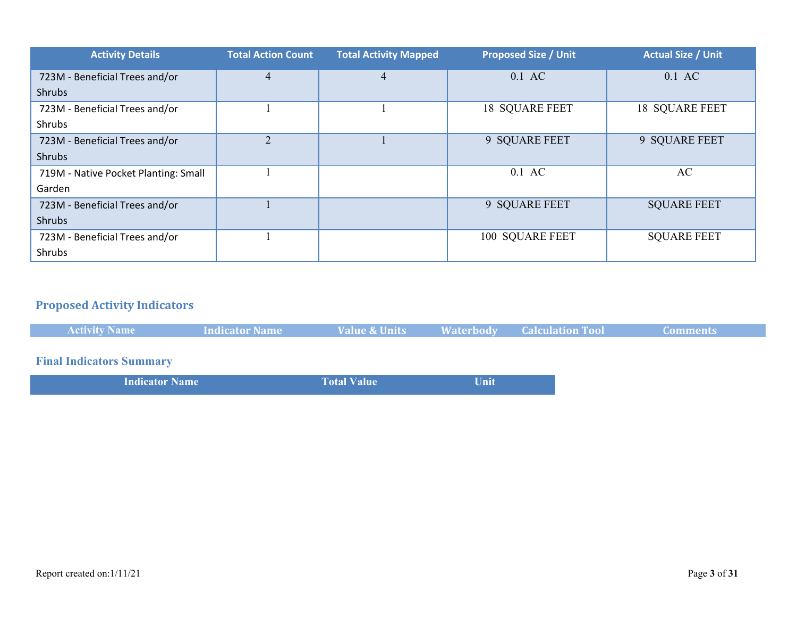| <b>Activity Details</b>              | <b>Total Action Count</b> | <b>Total Activity Mapped</b> | <b>Proposed Size / Unit</b> | <b>Actual Size / Unit</b> |
|--------------------------------------|---------------------------|------------------------------|-----------------------------|---------------------------|
| 723M - Beneficial Trees and/or       | $\overline{4}$            | 4                            | $0.1$ AC                    | $0.1 \text{ AC}$          |
| <b>Shrubs</b>                        |                           |                              |                             |                           |
| 723M - Beneficial Trees and/or       |                           |                              | <b>18 SQUARE FEET</b>       | <b>18 SQUARE FEET</b>     |
| Shrubs                               |                           |                              |                             |                           |
| 723M - Beneficial Trees and/or       | $\overline{2}$            |                              | 9 SQUARE FEET               | 9 SQUARE FEET             |
| Shrubs                               |                           |                              |                             |                           |
| 719M - Native Pocket Planting: Small |                           |                              | $0.1$ AC                    | AC                        |
| Garden                               |                           |                              |                             |                           |
| 723M - Beneficial Trees and/or       |                           |                              | 9 SQUARE FEET               | <b>SQUARE FEET</b>        |
| Shrubs                               |                           |                              |                             |                           |
| 723M - Beneficial Trees and/or       |                           |                              | 100 SQUARE FEET             | <b>SQUARE FEET</b>        |
| Shrubs                               |                           |                              |                             |                           |

# **Proposed Activity Indicators**

| <b>Activity Name</b>                                                             | <b>Indicator Name</b> | <b>Value &amp; Units</b> |                                                                                 | <b>Waterbody Calculation Tool</b> | Comments : |
|----------------------------------------------------------------------------------|-----------------------|--------------------------|---------------------------------------------------------------------------------|-----------------------------------|------------|
|                                                                                  |                       |                          |                                                                                 |                                   |            |
| <b>Final Indicators Summary</b>                                                  |                       |                          |                                                                                 |                                   |            |
| ,我们也不会有什么。""我们的人,我们也不会有什么?""我们的人,我们也不会有什么?""我们的人,我们也不会有什么?""我们的人,我们也不会有什么?""我们的人 |                       |                          | the contract of the contract of the contract of the contract of the contract of |                                   |            |

| <b>Indicator Name</b> | <b>Total Value</b> | Unit |  |
|-----------------------|--------------------|------|--|
|                       |                    |      |  |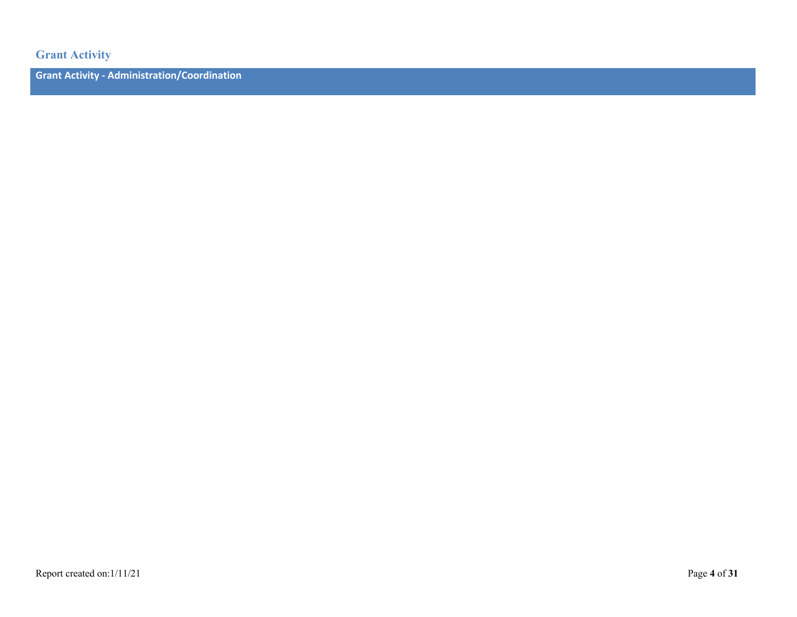**Grant Activity**

**Grant Activity - Administration/Coordination**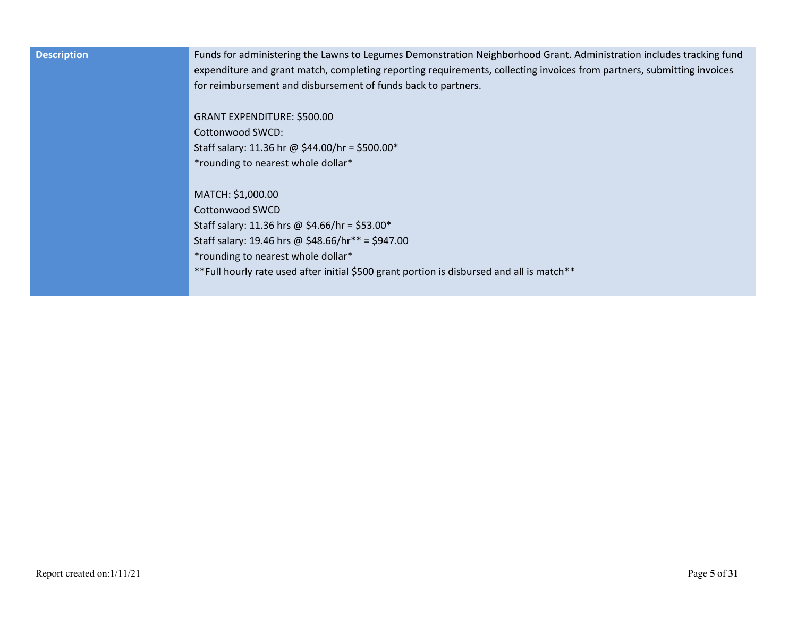| <b>Description</b> | Funds for administering the Lawns to Legumes Demonstration Neighborhood Grant. Administration includes tracking fund   |
|--------------------|------------------------------------------------------------------------------------------------------------------------|
|                    | expenditure and grant match, completing reporting requirements, collecting invoices from partners, submitting invoices |
|                    | for reimbursement and disbursement of funds back to partners.                                                          |
|                    |                                                                                                                        |
|                    | GRANT EXPENDITURE: \$500.00                                                                                            |
|                    | Cottonwood SWCD:                                                                                                       |
|                    | Staff salary: 11.36 hr @ \$44.00/hr = \$500.00*                                                                        |
|                    | *rounding to nearest whole dollar*                                                                                     |
|                    |                                                                                                                        |
|                    | MATCH: \$1,000.00                                                                                                      |
|                    | Cottonwood SWCD                                                                                                        |
|                    | Staff salary: 11.36 hrs @ \$4.66/hr = \$53.00*                                                                         |
|                    | Staff salary: 19.46 hrs @ \$48.66/hr** = \$947.00                                                                      |
|                    | *rounding to nearest whole dollar*                                                                                     |
|                    | **Full hourly rate used after initial \$500 grant portion is disbursed and all is match**                              |
|                    |                                                                                                                        |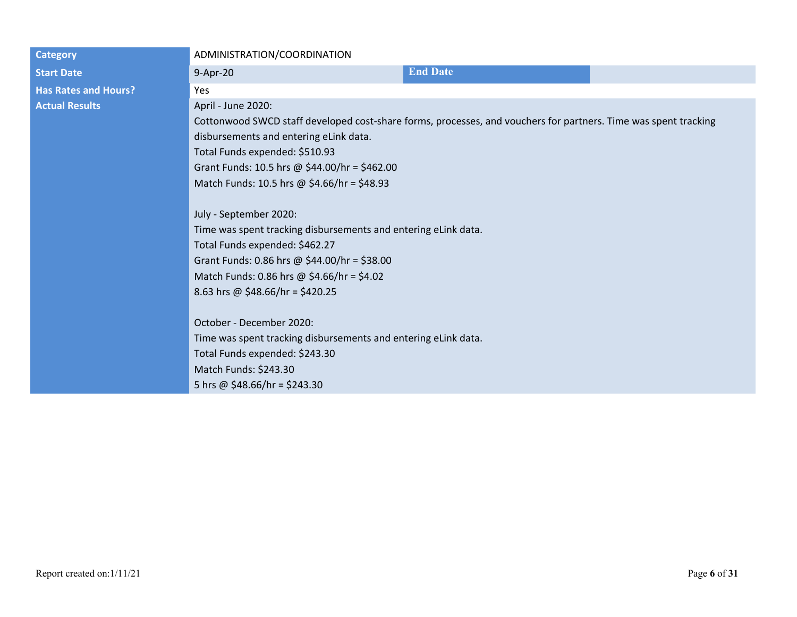| <b>Category</b>             | ADMINISTRATION/COORDINATION                                                                                     |                 |  |
|-----------------------------|-----------------------------------------------------------------------------------------------------------------|-----------------|--|
| <b>Start Date</b>           | 9-Apr-20                                                                                                        | <b>End Date</b> |  |
| <b>Has Rates and Hours?</b> | Yes                                                                                                             |                 |  |
| <b>Actual Results</b>       | April - June 2020:                                                                                              |                 |  |
|                             | Cottonwood SWCD staff developed cost-share forms, processes, and vouchers for partners. Time was spent tracking |                 |  |
|                             | disbursements and entering eLink data.                                                                          |                 |  |
|                             | Total Funds expended: \$510.93                                                                                  |                 |  |
|                             | Grant Funds: 10.5 hrs @ \$44.00/hr = \$462.00                                                                   |                 |  |
|                             | Match Funds: 10.5 hrs @ \$4.66/hr = \$48.93                                                                     |                 |  |
|                             |                                                                                                                 |                 |  |
|                             | July - September 2020:                                                                                          |                 |  |
|                             | Time was spent tracking disbursements and entering eLink data.                                                  |                 |  |
|                             | Total Funds expended: \$462.27                                                                                  |                 |  |
|                             | Grant Funds: 0.86 hrs @ \$44.00/hr = \$38.00                                                                    |                 |  |
|                             | Match Funds: 0.86 hrs @ \$4.66/hr = \$4.02                                                                      |                 |  |
|                             | 8.63 hrs @ \$48.66/hr = \$420.25                                                                                |                 |  |
|                             |                                                                                                                 |                 |  |
|                             | October - December 2020:                                                                                        |                 |  |
|                             | Time was spent tracking disbursements and entering eLink data.                                                  |                 |  |
|                             | Total Funds expended: \$243.30                                                                                  |                 |  |
|                             | Match Funds: \$243.30                                                                                           |                 |  |
|                             | 5 hrs @ $$48.66/hr = $243.30$                                                                                   |                 |  |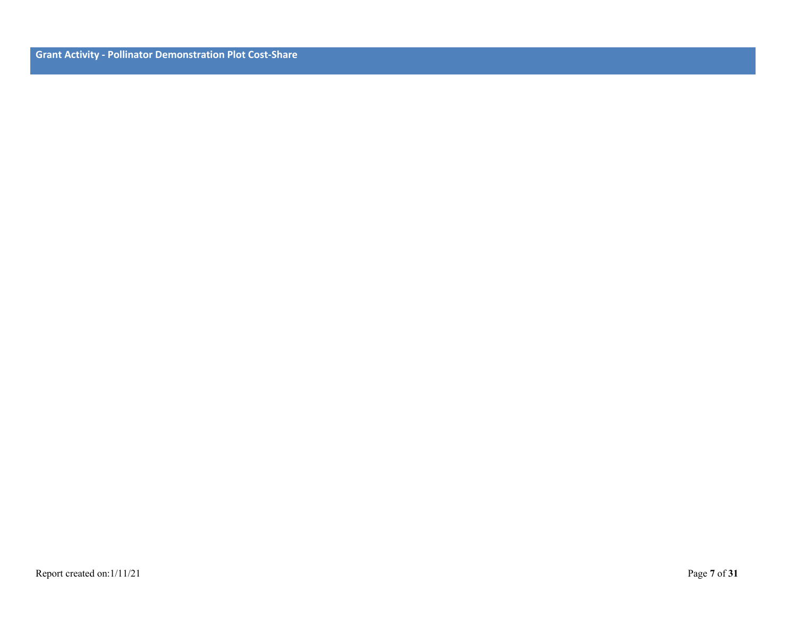**Grant Activity - Pollinator Demonstration Plot Cost-Share**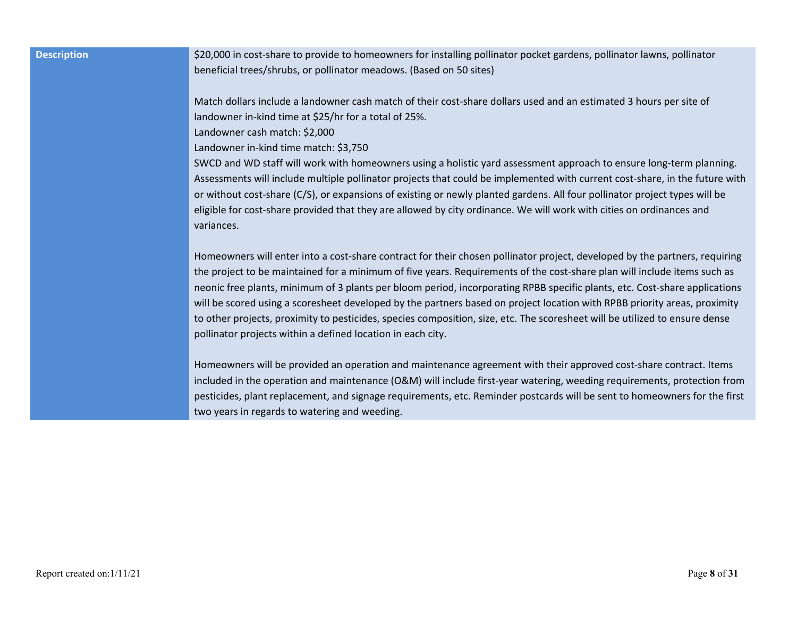| <b>Description</b> | \$20,000 in   |
|--------------------|---------------|
|                    | beneficial ti |
|                    |               |
|                    | Match dolla   |
|                    | landowner     |
|                    | Landowner     |
|                    | Landowner     |
|                    | SWCD and      |
|                    | Assessment    |
|                    | or without    |
|                    | eligible for  |
|                    | variances.    |
|                    |               |
|                    | Homeowne      |

**Description** \$20,000 in cost-share to provide to homeowners for installing pollinator pocket gardens, pollinator lawns, pollinator rees/shrubs, or pollinator meadows. (Based on 50 sites)

ars include a landowner cash match of their cost-share dollars used and an estimated 3 hours per site of in-kind time at  $$25/$ hr for a total of 25%.

cash match: \$2,000

in-kind time match: \$3,750

WD staff will work with homeowners using a holistic yard assessment approach to ensure long-term planning. ts will include multiple pollinator projects that could be implemented with current cost-share, in the future with cost-share (C/S), or expansions of existing or newly planted gardens. All four pollinator project types will be cost-share provided that they are allowed by city ordinance. We will work with cities on ordinances and

rs will enter into a cost-share contract for their chosen pollinator project, developed by the partners, requiring the project to be maintained for a minimum of five years. Requirements of the cost-share plan will include items such as neonic free plants, minimum of 3 plants per bloom period, incorporating RPBB specific plants, etc. Cost-share applications will be scored using a scoresheet developed by the partners based on project location with RPBB priority areas, proximity to other projects, proximity to pesticides, species composition, size, etc. The scoresheet will be utilized to ensure dense pollinator projects within a defined location in each city.

Homeowners will be provided an operation and maintenance agreement with their approved cost-share contract. Items included in the operation and maintenance (O&M) will include first-year watering, weeding requirements, protection from pesticides, plant replacement, and signage requirements, etc. Reminder postcards will be sent to homeowners for the first two years in regards to watering and weeding.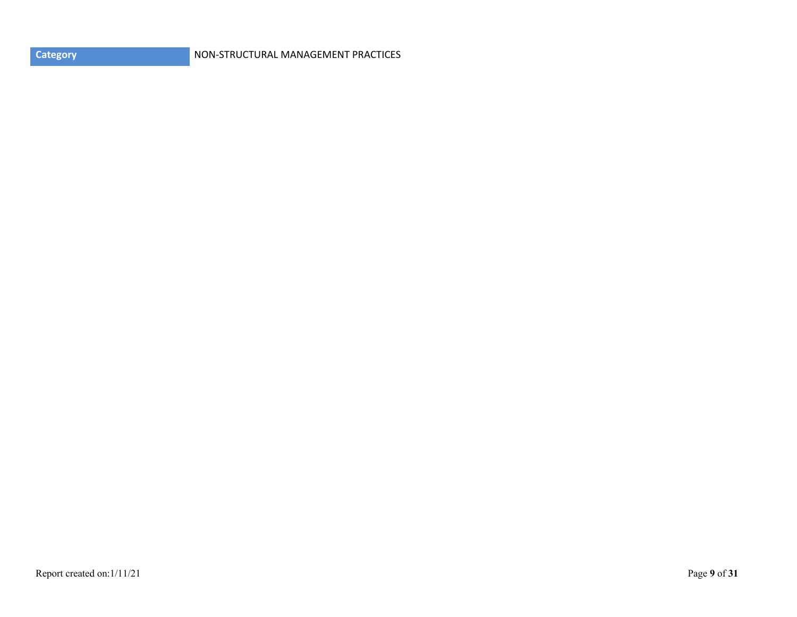| <b>Category</b> |  |
|-----------------|--|
|                 |  |

**CATEGORY CONSTRUCTURE IN A REAL PROPERTY OF A REAL PROPERTY PRACTICES**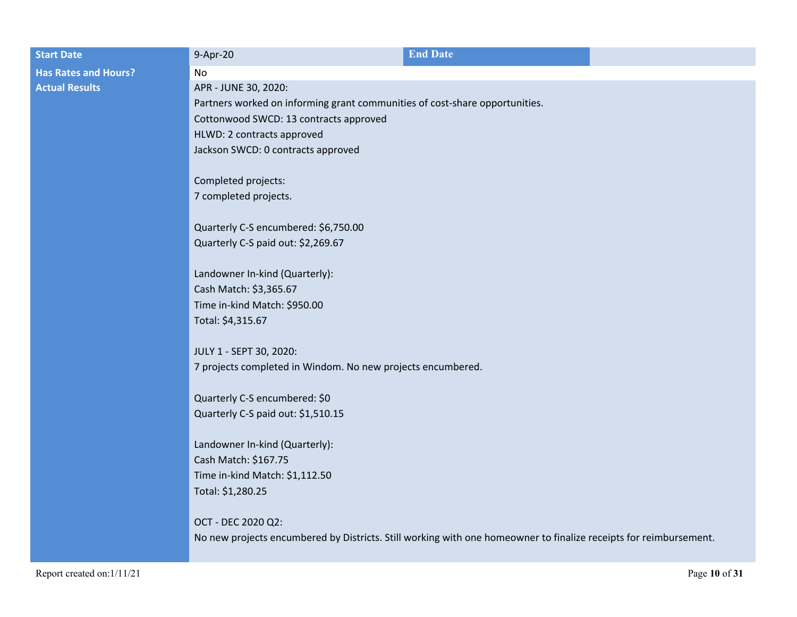| <b>Start Date</b>           | 9-Apr-20                                                                                                          | <b>End Date</b> |  |
|-----------------------------|-------------------------------------------------------------------------------------------------------------------|-----------------|--|
| <b>Has Rates and Hours?</b> | <b>No</b>                                                                                                         |                 |  |
| <b>Actual Results</b>       | APR - JUNE 30, 2020:                                                                                              |                 |  |
|                             | Partners worked on informing grant communities of cost-share opportunities.                                       |                 |  |
|                             | Cottonwood SWCD: 13 contracts approved                                                                            |                 |  |
|                             | HLWD: 2 contracts approved                                                                                        |                 |  |
|                             | Jackson SWCD: 0 contracts approved                                                                                |                 |  |
|                             | Completed projects:                                                                                               |                 |  |
|                             | 7 completed projects.                                                                                             |                 |  |
|                             | Quarterly C-S encumbered: \$6,750.00                                                                              |                 |  |
|                             | Quarterly C-S paid out: \$2,269.67                                                                                |                 |  |
|                             | Landowner In-kind (Quarterly):                                                                                    |                 |  |
|                             | Cash Match: \$3,365.67                                                                                            |                 |  |
|                             | Time in-kind Match: \$950.00                                                                                      |                 |  |
|                             | Total: \$4,315.67                                                                                                 |                 |  |
|                             | JULY 1 - SEPT 30, 2020:                                                                                           |                 |  |
|                             | 7 projects completed in Windom. No new projects encumbered.                                                       |                 |  |
|                             | Quarterly C-S encumbered: \$0                                                                                     |                 |  |
|                             | Quarterly C-S paid out: \$1,510.15                                                                                |                 |  |
|                             | Landowner In-kind (Quarterly):                                                                                    |                 |  |
|                             | Cash Match: \$167.75                                                                                              |                 |  |
|                             | Time in-kind Match: \$1,112.50                                                                                    |                 |  |
|                             | Total: \$1,280.25                                                                                                 |                 |  |
|                             | OCT - DEC 2020 Q2:                                                                                                |                 |  |
|                             | No new projects encumbered by Districts. Still working with one homeowner to finalize receipts for reimbursement. |                 |  |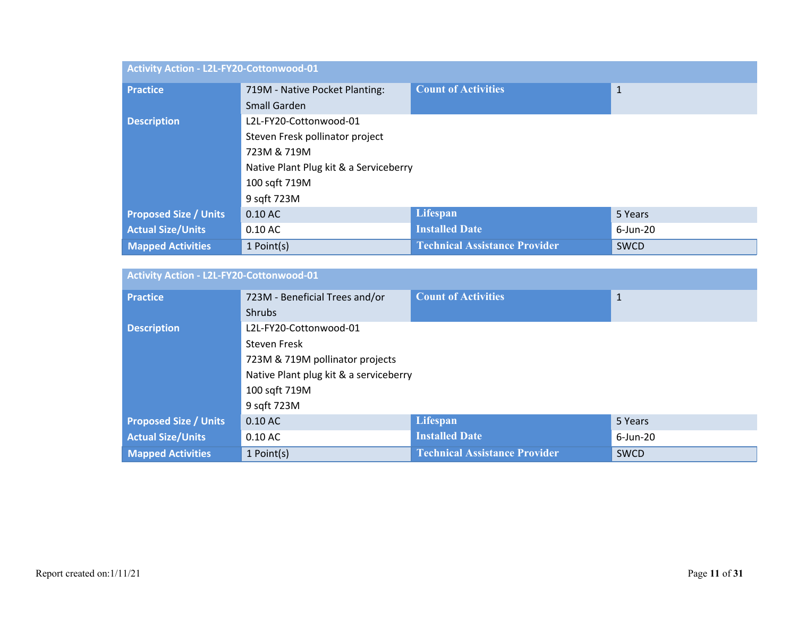| Activity Action - L2L-FY20-Cottonwood-01 |                                        |                                      |              |
|------------------------------------------|----------------------------------------|--------------------------------------|--------------|
| <b>Practice</b>                          | 719M - Native Pocket Planting:         | <b>Count of Activities</b>           | $\mathbf{1}$ |
|                                          | Small Garden                           |                                      |              |
| <b>Description</b>                       | L2L-FY20-Cottonwood-01                 |                                      |              |
|                                          | Steven Fresk pollinator project        |                                      |              |
|                                          | 723M & 719M                            |                                      |              |
|                                          | Native Plant Plug kit & a Serviceberry |                                      |              |
|                                          | 100 sqft 719M                          |                                      |              |
|                                          | 9 sqft 723M                            |                                      |              |
| <b>Proposed Size / Units</b>             | $0.10$ AC                              | Lifespan                             | 5 Years      |
| <b>Actual Size/Units</b>                 | $0.10$ AC                              | <b>Installed Date</b>                | $6$ -Jun-20  |
| <b>Mapped Activities</b>                 | 1 Point(s)                             | <b>Technical Assistance Provider</b> | <b>SWCD</b>  |

| <b>Activity Action - L2L-FY20-Cottonwood-01</b> |                                        |                                      |              |  |
|-------------------------------------------------|----------------------------------------|--------------------------------------|--------------|--|
| <b>Practice</b>                                 | 723M - Beneficial Trees and/or         | <b>Count of Activities</b>           | $\mathbf{1}$ |  |
|                                                 | <b>Shrubs</b>                          |                                      |              |  |
| <b>Description</b>                              | L2L-FY20-Cottonwood-01                 |                                      |              |  |
|                                                 | Steven Fresk                           |                                      |              |  |
|                                                 | 723M & 719M pollinator projects        |                                      |              |  |
|                                                 | Native Plant plug kit & a serviceberry |                                      |              |  |
|                                                 | 100 sqft 719M                          |                                      |              |  |
|                                                 | 9 sqft 723M                            |                                      |              |  |
| <b>Proposed Size / Units</b>                    | $0.10$ AC                              | Lifespan                             | 5 Years      |  |
| <b>Actual Size/Units</b>                        | $0.10$ AC                              | <b>Installed Date</b>                | $6$ -Jun-20  |  |
| <b>Mapped Activities</b>                        | 1 Point(s)                             | <b>Technical Assistance Provider</b> | <b>SWCD</b>  |  |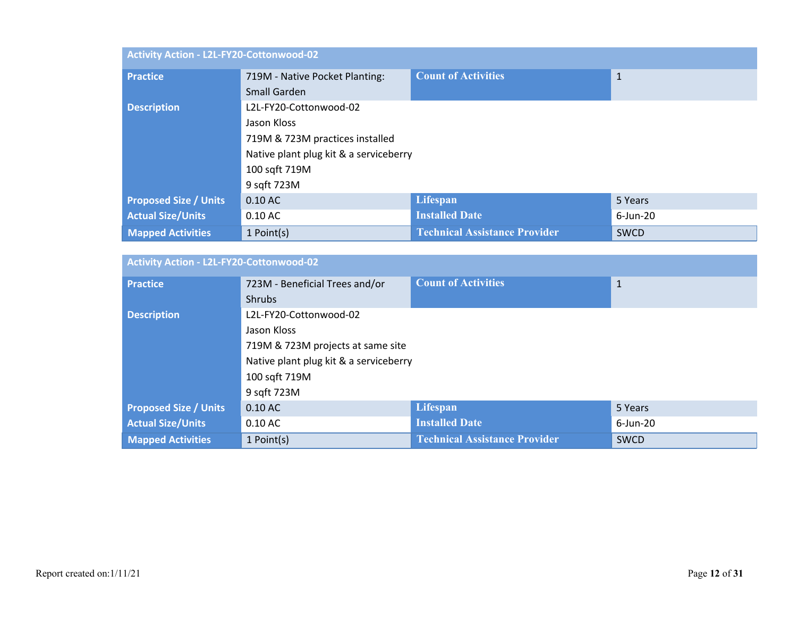| Activity Action - L2L-FY20-Cottonwood-02 |                                        |                                      |              |  |
|------------------------------------------|----------------------------------------|--------------------------------------|--------------|--|
| <b>Practice</b>                          | 719M - Native Pocket Planting:         | <b>Count of Activities</b>           | $\mathbf{1}$ |  |
|                                          | Small Garden                           |                                      |              |  |
| <b>Description</b>                       | L2L-FY20-Cottonwood-02                 |                                      |              |  |
|                                          | Jason Kloss                            |                                      |              |  |
|                                          | 719M & 723M practices installed        |                                      |              |  |
|                                          | Native plant plug kit & a serviceberry |                                      |              |  |
|                                          | 100 sqft 719M                          |                                      |              |  |
|                                          | 9 sqft 723M                            |                                      |              |  |
| <b>Proposed Size / Units</b>             | $0.10$ AC                              | Lifespan                             | 5 Years      |  |
| <b>Actual Size/Units</b>                 | $0.10$ AC                              | <b>Installed Date</b>                | $6$ -Jun-20  |  |
| <b>Mapped Activities</b>                 | 1 Point(s)                             | <b>Technical Assistance Provider</b> | <b>SWCD</b>  |  |

| Activity Action - L2L-FY20-Cottonwood-02 |                                        |                                      |              |  |
|------------------------------------------|----------------------------------------|--------------------------------------|--------------|--|
| <b>Practice</b>                          | 723M - Beneficial Trees and/or         | <b>Count of Activities</b>           | $\mathbf{1}$ |  |
|                                          | <b>Shrubs</b>                          |                                      |              |  |
| <b>Description</b>                       | L2L-FY20-Cottonwood-02                 |                                      |              |  |
|                                          | Jason Kloss                            |                                      |              |  |
|                                          | 719M & 723M projects at same site      |                                      |              |  |
|                                          | Native plant plug kit & a serviceberry |                                      |              |  |
|                                          | 100 sqft 719M                          |                                      |              |  |
|                                          | 9 sqft 723M                            |                                      |              |  |
| <b>Proposed Size / Units</b>             | $0.10$ AC                              | Lifespan                             | 5 Years      |  |
| <b>Actual Size/Units</b>                 | $0.10$ AC                              | <b>Installed Date</b>                | $6$ -Jun-20  |  |
| <b>Mapped Activities</b>                 | 1 Point(s)                             | <b>Technical Assistance Provider</b> | <b>SWCD</b>  |  |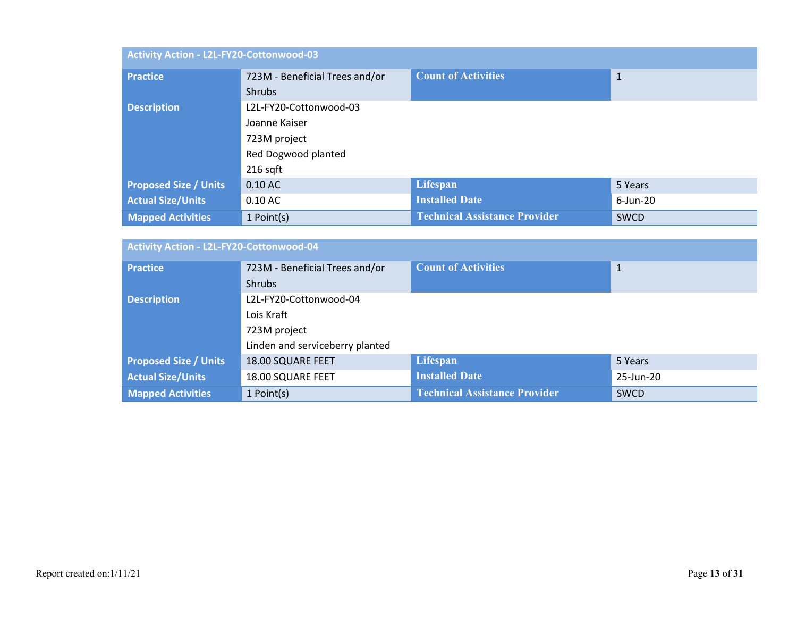| Activity Action - L2L-FY20-Cottonwood-03 |                                |                                      |              |
|------------------------------------------|--------------------------------|--------------------------------------|--------------|
| <b>Practice</b>                          | 723M - Beneficial Trees and/or | <b>Count of Activities</b>           | $\mathbf{1}$ |
|                                          | <b>Shrubs</b>                  |                                      |              |
| <b>Description</b>                       | L2L-FY20-Cottonwood-03         |                                      |              |
|                                          | Joanne Kaiser                  |                                      |              |
|                                          | 723M project                   |                                      |              |
|                                          | Red Dogwood planted            |                                      |              |
|                                          | $216$ sqft                     |                                      |              |
| <b>Proposed Size / Units</b>             | $0.10$ AC                      | Lifespan                             | 5 Years      |
| <b>Actual Size/Units</b>                 | $0.10$ AC                      | <b>Installed Date</b>                | 6-Jun-20     |
| <b>Mapped Activities</b>                 | 1 Point(s)                     | <b>Technical Assistance Provider</b> | <b>SWCD</b>  |

| Activity Action - L2L-FY20-Cottonwood-04 |                                 |                                      |              |
|------------------------------------------|---------------------------------|--------------------------------------|--------------|
| <b>Practice</b>                          | 723M - Beneficial Trees and/or  | <b>Count of Activities</b>           | $\mathbf{1}$ |
|                                          | <b>Shrubs</b>                   |                                      |              |
| <b>Description</b>                       | L2L-FY20-Cottonwood-04          |                                      |              |
|                                          | Lois Kraft                      |                                      |              |
|                                          | 723M project                    |                                      |              |
|                                          | Linden and serviceberry planted |                                      |              |
| <b>Proposed Size / Units</b>             | 18.00 SQUARE FEET               | Lifespan                             | 5 Years      |
| <b>Actual Size/Units</b>                 | 18.00 SQUARE FEET               | <b>Installed Date</b>                | 25-Jun-20    |
| <b>Mapped Activities</b>                 | 1 Point(s)                      | <b>Technical Assistance Provider</b> | <b>SWCD</b>  |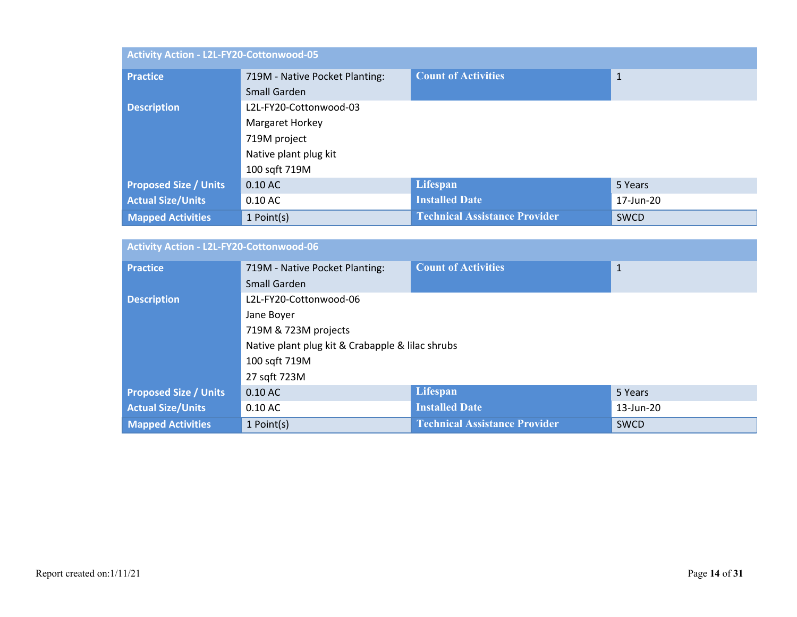| Activity Action - L2L-FY20-Cottonwood-05 |                                |                                      |              |  |
|------------------------------------------|--------------------------------|--------------------------------------|--------------|--|
| <b>Practice</b>                          | 719M - Native Pocket Planting: | <b>Count of Activities</b>           | $\mathbf{1}$ |  |
|                                          | Small Garden                   |                                      |              |  |
| <b>Description</b>                       | L2L-FY20-Cottonwood-03         |                                      |              |  |
|                                          | Margaret Horkey                |                                      |              |  |
|                                          | 719M project                   |                                      |              |  |
|                                          | Native plant plug kit          |                                      |              |  |
|                                          | 100 sqft 719M                  |                                      |              |  |
| <b>Proposed Size / Units</b>             | $0.10$ AC                      | Lifespan                             | 5 Years      |  |
| <b>Actual Size/Units</b>                 | $0.10$ AC                      | <b>Installed Date</b>                | 17-Jun-20    |  |
| <b>Mapped Activities</b>                 | 1 Point(s)                     | <b>Technical Assistance Provider</b> | <b>SWCD</b>  |  |

| Activity Action - L2L-FY20-Cottonwood-06 |                                                  |                                      |              |
|------------------------------------------|--------------------------------------------------|--------------------------------------|--------------|
| <b>Practice</b>                          | 719M - Native Pocket Planting:                   | <b>Count of Activities</b>           | $\mathbf{1}$ |
|                                          | Small Garden                                     |                                      |              |
| <b>Description</b>                       | L2L-FY20-Cottonwood-06                           |                                      |              |
|                                          | Jane Boyer                                       |                                      |              |
|                                          | 719M & 723M projects                             |                                      |              |
|                                          | Native plant plug kit & Crabapple & lilac shrubs |                                      |              |
|                                          | 100 sqft 719M                                    |                                      |              |
|                                          | 27 sqft 723M                                     |                                      |              |
| <b>Proposed Size / Units</b>             | $0.10$ AC                                        | Lifespan                             | 5 Years      |
| <b>Actual Size/Units</b>                 | $0.10$ AC                                        | <b>Installed Date</b>                | 13-Jun-20    |
| <b>Mapped Activities</b>                 | 1 Point(s)                                       | <b>Technical Assistance Provider</b> | <b>SWCD</b>  |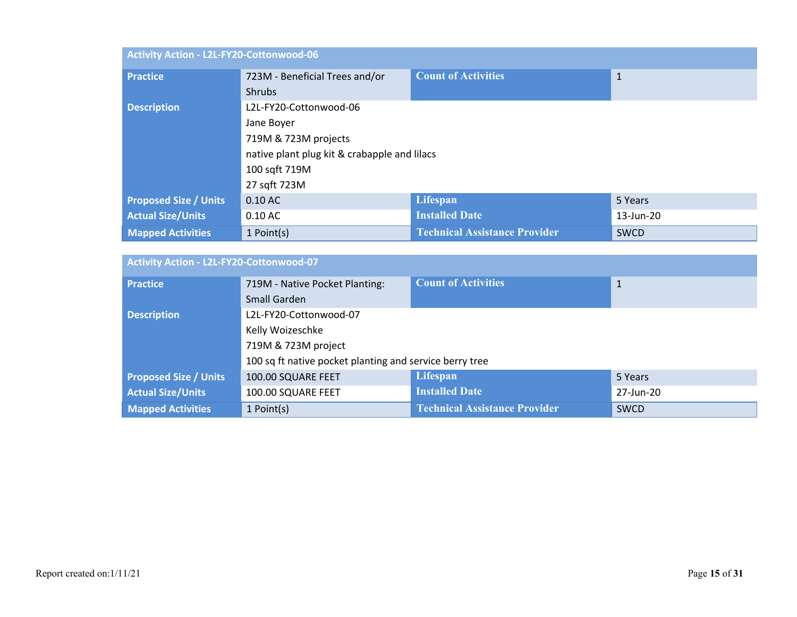| Activity Action - L2L-FY20-Cottonwood-06 |                                              |                                      |              |
|------------------------------------------|----------------------------------------------|--------------------------------------|--------------|
| <b>Practice</b>                          | 723M - Beneficial Trees and/or               | <b>Count of Activities</b>           | $\mathbf{1}$ |
|                                          | <b>Shrubs</b>                                |                                      |              |
| <b>Description</b>                       | L2L-FY20-Cottonwood-06                       |                                      |              |
|                                          | Jane Boyer                                   |                                      |              |
|                                          | 719M & 723M projects                         |                                      |              |
|                                          | native plant plug kit & crabapple and lilacs |                                      |              |
|                                          | 100 sqft 719M                                |                                      |              |
|                                          | 27 sqft 723M                                 |                                      |              |
| <b>Proposed Size / Units</b>             | $0.10$ AC                                    | Lifespan                             | 5 Years      |
| <b>Actual Size/Units</b>                 | $0.10$ AC                                    | <b>Installed Date</b>                | 13-Jun-20    |
| <b>Mapped Activities</b>                 | 1 Point(s)                                   | <b>Technical Assistance Provider</b> | <b>SWCD</b>  |

| Activity Action - L2L-FY20-Cottonwood-07 |                                                         |                                      |              |
|------------------------------------------|---------------------------------------------------------|--------------------------------------|--------------|
| <b>Practice</b>                          | 719M - Native Pocket Planting:                          | <b>Count of Activities</b>           | $\mathbf{1}$ |
|                                          | Small Garden                                            |                                      |              |
| <b>Description</b>                       | L2L-FY20-Cottonwood-07                                  |                                      |              |
|                                          | Kelly Woizeschke                                        |                                      |              |
|                                          | 719M & 723M project                                     |                                      |              |
|                                          | 100 sq ft native pocket planting and service berry tree |                                      |              |
| <b>Proposed Size / Units</b>             | 100.00 SQUARE FEET                                      | Lifespan                             | 5 Years      |
| <b>Actual Size/Units</b>                 | 100.00 SQUARE FEET                                      | <b>Installed Date</b>                | 27-Jun-20    |
| <b>Mapped Activities</b>                 | 1 Point(s)                                              | <b>Technical Assistance Provider</b> | SWCD         |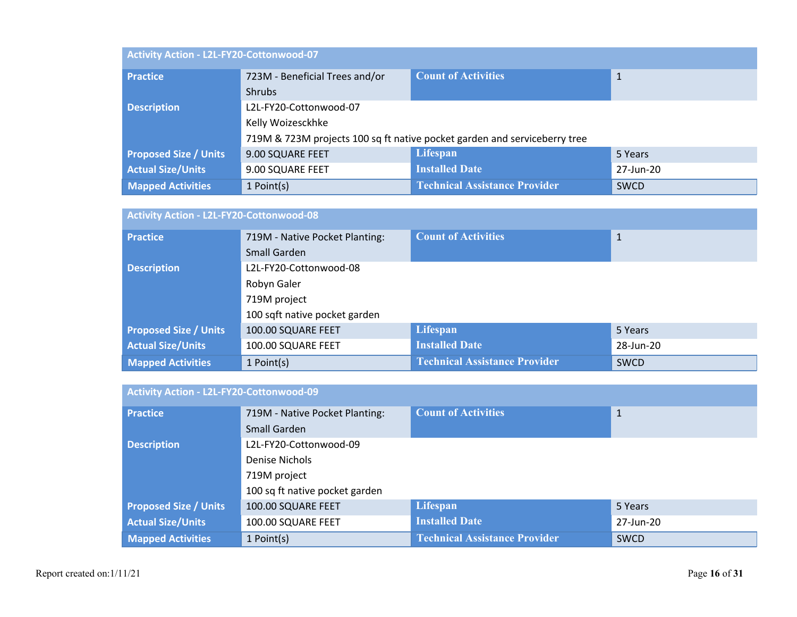| Activity Action - L2L-FY20-Cottonwood-07 |                                                                           |                                      |             |  |
|------------------------------------------|---------------------------------------------------------------------------|--------------------------------------|-------------|--|
| <b>Practice</b>                          | 723M - Beneficial Trees and/or                                            | <b>Count of Activities</b>           | 1           |  |
|                                          | <b>Shrubs</b>                                                             |                                      |             |  |
| <b>Description</b>                       | L2L-FY20-Cottonwood-07                                                    |                                      |             |  |
|                                          | Kelly Woizesckhke                                                         |                                      |             |  |
|                                          | 719M & 723M projects 100 sq ft native pocket garden and serviceberry tree |                                      |             |  |
| <b>Proposed Size / Units</b>             | 9.00 SQUARE FEET                                                          | Lifespan                             | 5 Years     |  |
| <b>Actual Size/Units</b>                 | 9.00 SQUARE FEET                                                          | <b>Installed Date</b>                | 27-Jun-20   |  |
| <b>Mapped Activities</b>                 | 1 Point(s)                                                                | <b>Technical Assistance Provider</b> | <b>SWCD</b> |  |

| Activity Action - L2L-FY20-Cottonwood-08 |                                |                                      |             |  |
|------------------------------------------|--------------------------------|--------------------------------------|-------------|--|
| <b>Practice</b>                          | 719M - Native Pocket Planting: | <b>Count of Activities</b>           | 1           |  |
|                                          | Small Garden                   |                                      |             |  |
| <b>Description</b>                       | L2L-FY20-Cottonwood-08         |                                      |             |  |
|                                          | Robyn Galer<br>719M project    |                                      |             |  |
|                                          |                                |                                      |             |  |
|                                          | 100 sqft native pocket garden  |                                      |             |  |
| <b>Proposed Size / Units</b>             | 100.00 SQUARE FEET             | Lifespan                             | 5 Years     |  |
| <b>Actual Size/Units</b>                 | 100.00 SQUARE FEET             | <b>Installed Date</b>                | 28-Jun-20   |  |
| <b>Mapped Activities</b>                 | 1 Point(s)                     | <b>Technical Assistance Provider</b> | <b>SWCD</b> |  |

| Activity Action - L2L-FY20-Cottonwood-09 |                                |                                      |              |  |
|------------------------------------------|--------------------------------|--------------------------------------|--------------|--|
| <b>Practice</b>                          | 719M - Native Pocket Planting: | <b>Count of Activities</b>           | $\mathbf{1}$ |  |
|                                          | Small Garden                   |                                      |              |  |
| <b>Description</b>                       | L2L-FY20-Cottonwood-09         |                                      |              |  |
|                                          | Denise Nichols                 |                                      |              |  |
|                                          | 719M project                   |                                      |              |  |
|                                          | 100 sq ft native pocket garden |                                      |              |  |
| <b>Proposed Size / Units</b>             | 100.00 SQUARE FEET             | Lifespan                             | 5 Years      |  |
| <b>Actual Size/Units</b>                 | 100.00 SQUARE FEET             | <b>Installed Date</b>                | 27-Jun-20    |  |
| <b>Mapped Activities</b>                 | 1 Point(s)                     | <b>Technical Assistance Provider</b> | <b>SWCD</b>  |  |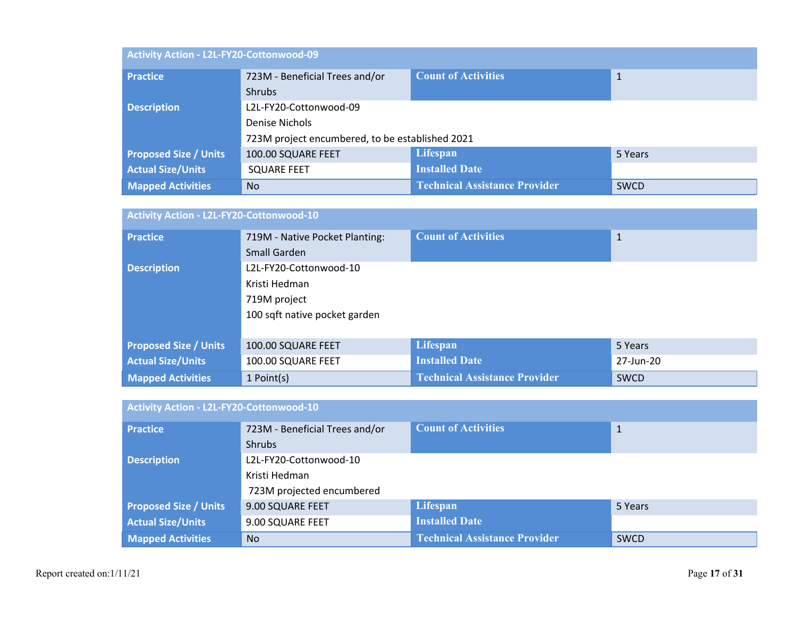| Activity Action - L2L-FY20-Cottonwood-09 |                                                 |                                      |             |  |
|------------------------------------------|-------------------------------------------------|--------------------------------------|-------------|--|
| <b>Practice</b>                          | 723M - Beneficial Trees and/or                  | <b>Count of Activities</b>           | 1           |  |
|                                          | <b>Shrubs</b>                                   |                                      |             |  |
| <b>Description</b>                       | L2L-FY20-Cottonwood-09                          |                                      |             |  |
|                                          | Denise Nichols                                  |                                      |             |  |
|                                          | 723M project encumbered, to be established 2021 |                                      |             |  |
| <b>Proposed Size / Units</b>             | 100.00 SQUARE FEET                              | Lifespan                             | 5 Years     |  |
| <b>Actual Size/Units</b>                 | <b>SQUARE FEET</b>                              | <b>Installed Date</b>                |             |  |
| <b>Mapped Activities</b>                 | <b>No</b>                                       | <b>Technical Assistance Provider</b> | <b>SWCD</b> |  |

| Activity Action - L2L-FY20-Cottonwood-10 |                                |                                      |             |  |
|------------------------------------------|--------------------------------|--------------------------------------|-------------|--|
| <b>Practice</b>                          | 719M - Native Pocket Planting: | <b>Count of Activities</b>           | 1           |  |
|                                          | Small Garden                   |                                      |             |  |
| <b>Description</b>                       | L2L-FY20-Cottonwood-10         |                                      |             |  |
|                                          | Kristi Hedman                  |                                      |             |  |
|                                          | 719M project                   |                                      |             |  |
|                                          | 100 sqft native pocket garden  |                                      |             |  |
|                                          |                                |                                      |             |  |
| <b>Proposed Size / Units</b>             | 100.00 SQUARE FEET             | Lifespan                             | 5 Years     |  |
| <b>Actual Size/Units</b>                 | 100.00 SQUARE FEET             | <b>Installed Date</b>                | 27-Jun-20   |  |
| <b>Mapped Activities</b>                 | 1 Point(s)                     | <b>Technical Assistance Provider</b> | <b>SWCD</b> |  |

| Activity Action - L2L-FY20-Cottonwood-10 |                                         |                                      |              |  |
|------------------------------------------|-----------------------------------------|--------------------------------------|--------------|--|
| <b>Practice</b>                          | 723M - Beneficial Trees and/or          | <b>Count of Activities</b>           | $\mathbf{1}$ |  |
|                                          | <b>Shrubs</b>                           |                                      |              |  |
| <b>Description</b>                       | L2L-FY20-Cottonwood-10<br>Kristi Hedman |                                      |              |  |
|                                          |                                         |                                      |              |  |
|                                          | 723M projected encumbered               |                                      |              |  |
| <b>Proposed Size / Units</b>             | 9.00 SQUARE FEET                        | Lifespan                             | 5 Years      |  |
| <b>Actual Size/Units</b>                 | 9.00 SQUARE FEET                        | <b>Installed Date</b>                |              |  |
| <b>Mapped Activities</b>                 | <b>No</b>                               | <b>Technical Assistance Provider</b> | <b>SWCD</b>  |  |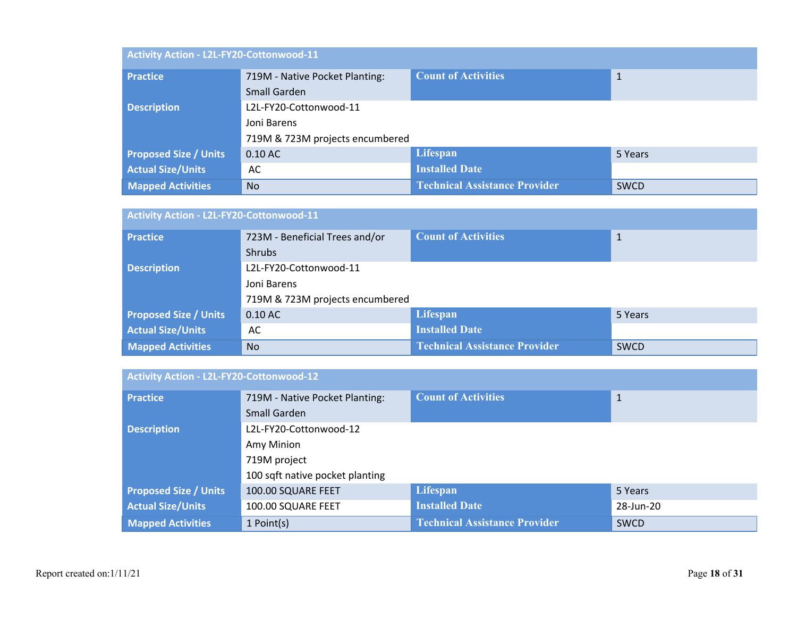| Activity Action - L2L-FY20-Cottonwood-11 |                                 |                                      |             |  |
|------------------------------------------|---------------------------------|--------------------------------------|-------------|--|
| <b>Practice</b>                          | 719M - Native Pocket Planting:  | <b>Count of Activities</b>           | 1           |  |
|                                          | Small Garden                    |                                      |             |  |
| <b>Description</b>                       | L2L-FY20-Cottonwood-11          |                                      |             |  |
|                                          | Joni Barens                     |                                      |             |  |
|                                          | 719M & 723M projects encumbered |                                      |             |  |
| <b>Proposed Size / Units</b>             | $0.10$ AC                       | Lifespan                             | 5 Years     |  |
| <b>Actual Size/Units</b>                 | AC                              | <b>Installed Date</b>                |             |  |
| <b>Mapped Activities</b>                 | <b>No</b>                       | <b>Technical Assistance Provider</b> | <b>SWCD</b> |  |

| Activity Action - L2L-FY20-Cottonwood-11 |                                 |                                      |             |  |
|------------------------------------------|---------------------------------|--------------------------------------|-------------|--|
| <b>Practice</b>                          | 723M - Beneficial Trees and/or  | <b>Count of Activities</b>           | 1           |  |
|                                          | <b>Shrubs</b>                   |                                      |             |  |
| <b>Description</b>                       | L2L-FY20-Cottonwood-11          |                                      |             |  |
|                                          | Joni Barens                     |                                      |             |  |
|                                          | 719M & 723M projects encumbered |                                      |             |  |
| <b>Proposed Size / Units</b>             | $0.10$ AC                       | <b>Lifespan</b>                      | 5 Years     |  |
| <b>Actual Size/Units</b>                 | AC                              | <b>Installed Date</b>                |             |  |
| <b>Mapped Activities</b>                 | <b>No</b>                       | <b>Technical Assistance Provider</b> | <b>SWCD</b> |  |

| Activity Action - L2L-FY20-Cottonwood-12 |                                 |                                      |              |  |
|------------------------------------------|---------------------------------|--------------------------------------|--------------|--|
| <b>Practice</b>                          | 719M - Native Pocket Planting:  | <b>Count of Activities</b>           | $\mathbf{1}$ |  |
|                                          | Small Garden                    |                                      |              |  |
| <b>Description</b>                       | L2L-FY20-Cottonwood-12          |                                      |              |  |
|                                          | Amy Minion                      |                                      |              |  |
|                                          | 719M project                    |                                      |              |  |
|                                          | 100 sqft native pocket planting |                                      |              |  |
| <b>Proposed Size / Units</b>             | 100.00 SQUARE FEET              | Lifespan                             | 5 Years      |  |
| <b>Actual Size/Units</b>                 | 100.00 SQUARE FEET              | <b>Installed Date</b>                | 28-Jun-20    |  |
| <b>Mapped Activities</b>                 | 1 Point(s)                      | <b>Technical Assistance Provider</b> | <b>SWCD</b>  |  |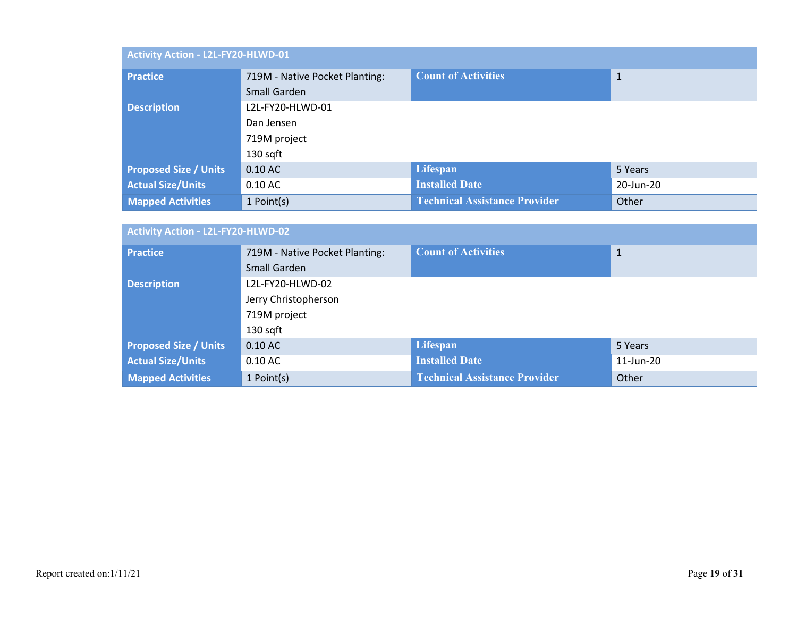| Activity Action - L2L-FY20-HLWD-01 |                                |                                      |           |  |
|------------------------------------|--------------------------------|--------------------------------------|-----------|--|
| <b>Practice</b>                    | 719M - Native Pocket Planting: | <b>Count of Activities</b>           | 1         |  |
|                                    | Small Garden                   |                                      |           |  |
| <b>Description</b>                 | L2L-FY20-HLWD-01               |                                      |           |  |
|                                    | Dan Jensen<br>719M project     |                                      |           |  |
|                                    |                                |                                      |           |  |
|                                    | 130 sqft                       |                                      |           |  |
| <b>Proposed Size / Units</b>       | $0.10$ AC                      | Lifespan                             | 5 Years   |  |
| <b>Actual Size/Units</b>           | $0.10$ AC                      | <b>Installed Date</b>                | 20-Jun-20 |  |
| <b>Mapped Activities</b>           | 1 Point(s)                     | <b>Technical Assistance Provider</b> | Other     |  |

| <b>Activity Action - L2L-FY20-HLWD-02</b> |                                      |                                      |              |  |
|-------------------------------------------|--------------------------------------|--------------------------------------|--------------|--|
| <b>Practice</b>                           | 719M - Native Pocket Planting:       | <b>Count of Activities</b>           | $\mathbf{1}$ |  |
|                                           | Small Garden                         |                                      |              |  |
| <b>Description</b>                        | L2L-FY20-HLWD-02                     |                                      |              |  |
|                                           | Jerry Christopherson<br>719M project |                                      |              |  |
|                                           |                                      |                                      |              |  |
|                                           | 130 sqft                             |                                      |              |  |
| <b>Proposed Size / Units</b>              | $0.10$ AC                            | Lifespan                             | 5 Years      |  |
| <b>Actual Size/Units</b>                  | $0.10$ AC                            | <b>Installed Date</b>                | 11-Jun-20    |  |
| <b>Mapped Activities</b>                  | 1 Point(s)                           | <b>Technical Assistance Provider</b> | Other        |  |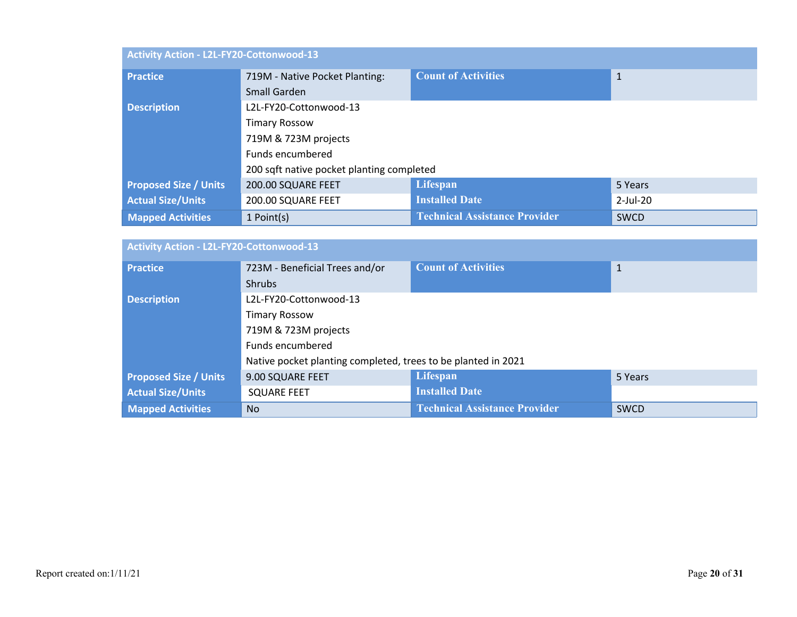| Activity Action - L2L-FY20-Cottonwood-13 |                                           |                                      |              |  |
|------------------------------------------|-------------------------------------------|--------------------------------------|--------------|--|
| <b>Practice</b>                          | 719M - Native Pocket Planting:            | <b>Count of Activities</b>           | $\mathbf{1}$ |  |
|                                          | Small Garden                              |                                      |              |  |
| <b>Description</b>                       | L2L-FY20-Cottonwood-13                    |                                      |              |  |
|                                          | <b>Timary Rossow</b>                      |                                      |              |  |
|                                          | 719M & 723M projects                      |                                      |              |  |
|                                          | Funds encumbered                          |                                      |              |  |
|                                          | 200 sqft native pocket planting completed |                                      |              |  |
| <b>Proposed Size / Units</b>             | 200.00 SQUARE FEET                        | Lifespan                             | 5 Years      |  |
| <b>Actual Size/Units</b>                 | 200.00 SQUARE FEET                        | <b>Installed Date</b>                | $2$ -Jul-20  |  |
| <b>Mapped Activities</b>                 | 1 Point(s)                                | <b>Technical Assistance Provider</b> | SWCD         |  |

| Activity Action - L2L-FY20-Cottonwood-13 |                                                               |                                      |              |
|------------------------------------------|---------------------------------------------------------------|--------------------------------------|--------------|
| <b>Practice</b>                          | 723M - Beneficial Trees and/or                                | <b>Count of Activities</b>           | $\mathbf{1}$ |
|                                          | <b>Shrubs</b>                                                 |                                      |              |
| <b>Description</b>                       | L2L-FY20-Cottonwood-13                                        |                                      |              |
|                                          | <b>Timary Rossow</b>                                          |                                      |              |
|                                          | 719M & 723M projects                                          |                                      |              |
|                                          | Funds encumbered                                              |                                      |              |
|                                          | Native pocket planting completed, trees to be planted in 2021 |                                      |              |
| <b>Proposed Size / Units</b>             | 9.00 SQUARE FEET                                              | Lifespan                             | 5 Years      |
| <b>Actual Size/Units</b>                 | <b>SQUARE FEET</b>                                            | <b>Installed Date</b>                |              |
| <b>Mapped Activities</b>                 | <b>No</b>                                                     | <b>Technical Assistance Provider</b> | <b>SWCD</b>  |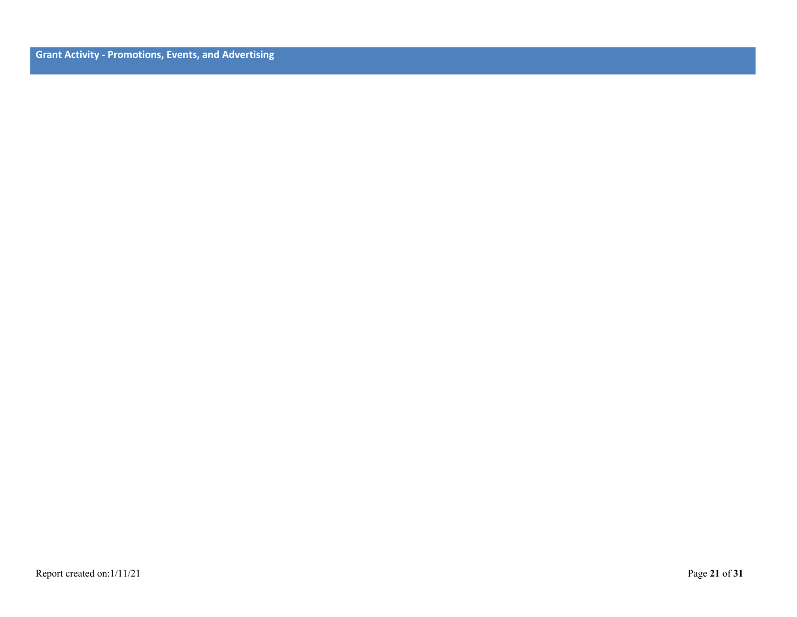**Grant Activity - Promotions, Events, and Advertising**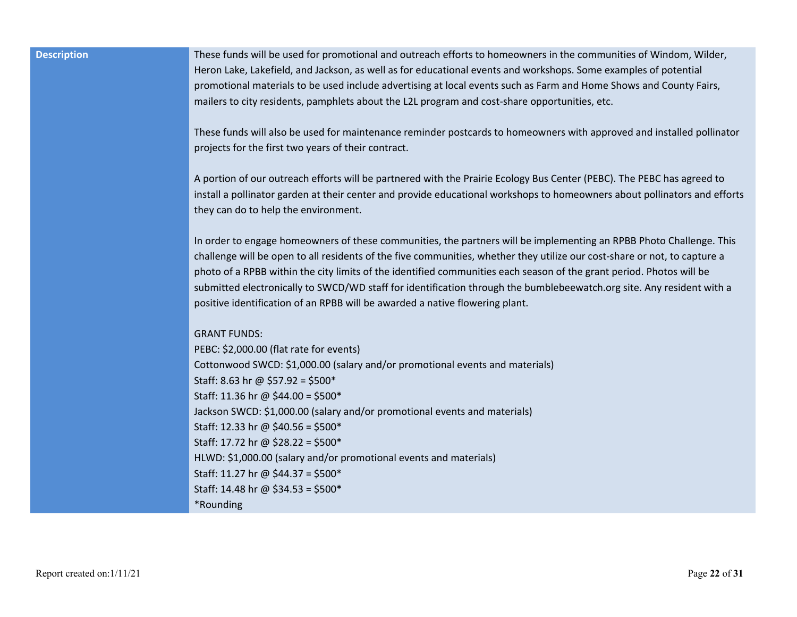**Description** These funds will be used for promotional and outreach efforts to homeowners in the communities of Windom, Wilder, Heron Lake, Lakefield, and Jackson, as well as for educational events and workshops. Some examples of potential promotional materials to be used include advertising at local events such as Farm and Home Shows and County Fairs, mailers to city residents, pamphlets about the L2L program and cost-share opportunities, etc.

> These funds will also be used for maintenance reminder postcards to homeowners with approved and installed pollinator projects for the first two years of their contract.

> A portion of our outreach efforts will be partnered with the Prairie Ecology Bus Center (PEBC). The PEBC has agreed to install a pollinator garden at their center and provide educational workshops to homeowners about pollinators and efforts they can do to help the environment.

In order to engage homeowners of these communities, the partners will be implementing an RPBB Photo Challenge. This challenge will be open to all residents of the five communities, whether they utilize our cost-share or not, to capture a photo of a RPBB within the city limits of the identified communities each season of the grant period. Photos will be submitted electronically to SWCD/WD staff for identification through the bumblebeewatch.org site. Any resident with a positive identification of an RPBB will be awarded a native flowering plant.

#### GRANT FUNDS:

PEBC: \$2,000.00 (flat rate for events) Cottonwood SWCD: \$1,000.00 (salary and/or promotional events and materials) Staff: 8.63 hr @ \$57.92 = \$500\* Staff: 11.36 hr @ \$44.00 = \$500\* Jackson SWCD: \$1,000.00 (salary and/or promotional events and materials) Staff: 12.33 hr @ \$40.56 = \$500\* Staff: 17.72 hr @ \$28.22 = \$500\* HLWD: \$1,000.00 (salary and/or promotional events and materials) Staff: 11.27 hr @ \$44.37 = \$500\* Staff: 14.48 hr @ \$34.53 = \$500\* \*Rounding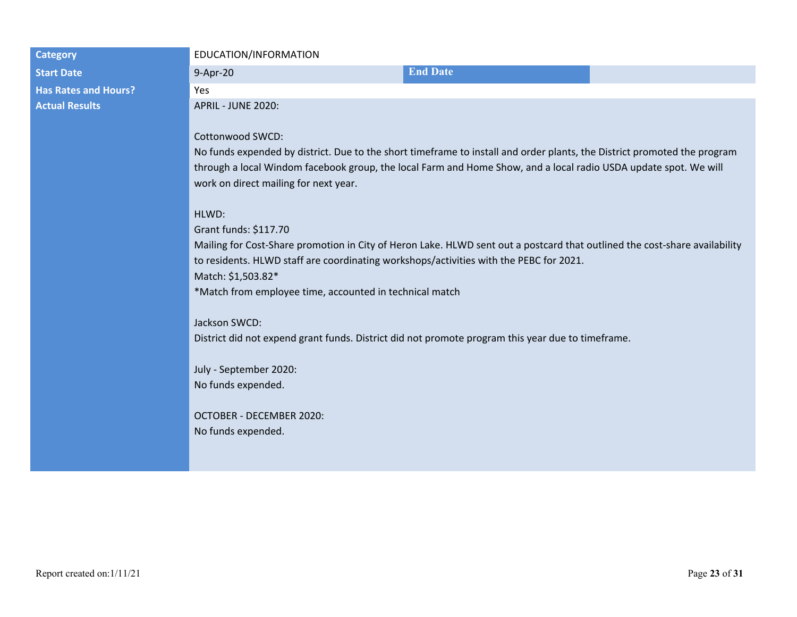# **Start Date** 8-Apr-20 **End Date** 8-Apr-20 **End Date Has Rates and Hours?** Yes **Actual Results APRIL - JUNE 2020:**

#### **Category EDUCATION/INFORMATION**

#### Cottonwood SWCD:

No funds expended by district. Due to the short timeframe to install and order plants, the District promoted the program through a local Windom facebook group, the local Farm and Home Show, and a local radio USDA update spot. We will work on direct mailing for next year.

### HLWD:

Grant funds: \$117.70 Mailing for Cost-Share promotion in City of Heron Lake. HLWD sent out a postcard that outlined the cost-share availability to residents. HLWD staff are coordinating workshops/activities with the PEBC for 2021. Match: \$1,503.82\* \*Match from employee time, accounted in technical match

#### Jackson SWCD:

District did not expend grant funds. District did not promote program this year due to timeframe.

July - September 2020: No funds expended.

OCTOBER - DECEMBER 2020: No funds expended.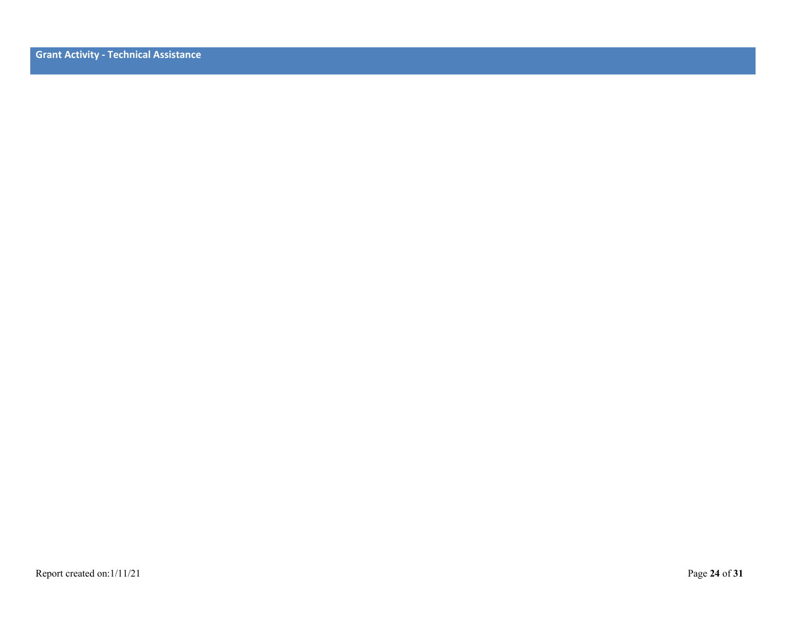**Grant Activity - Technical Assistance**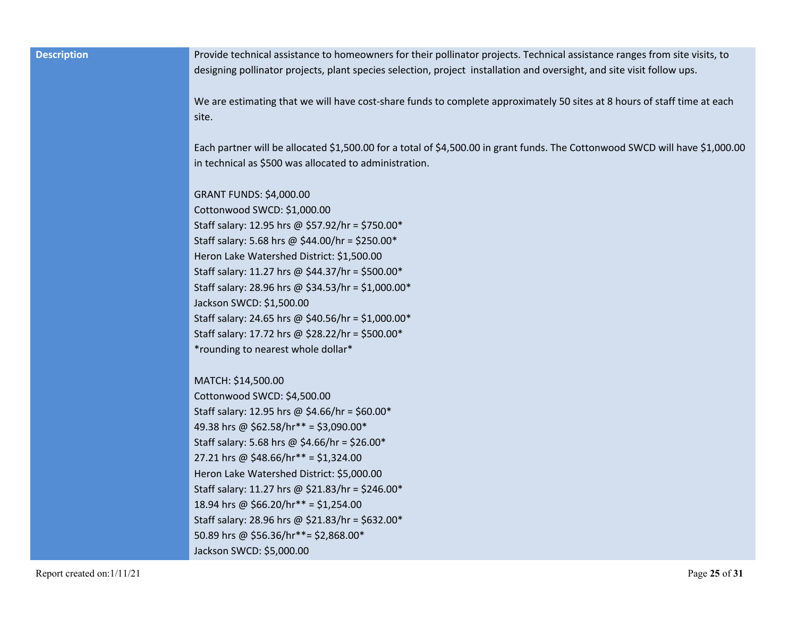**Description Provide technical assistance to homeowners for their pollinator projects. Technical assistance ranges from site visits, to** designing pollinator projects, plant species selection, project installation and oversight, and site visit follow ups.

> We are estimating that we will have cost-share funds to complete approximately 50 sites at 8 hours of staff time at each site.

Each partner will be allocated \$1,500.00 for a total of \$4,500.00 in grant funds. The Cottonwood SWCD will have \$1,000.00 in technical as \$500 was allocated to administration.

GRANT FUNDS: \$4,000.00

Cottonwood SWCD: \$1,000.00 Staff salary: 12.95 hrs @ \$57.92/hr = \$750.00\* Staff salary: 5.68 hrs @ \$44.00/hr = \$250.00\* Heron Lake Watershed District: \$1,500.00 Staff salary: 11.27 hrs @ \$44.37/hr = \$500.00\* Staff salary: 28.96 hrs @ \$34.53/hr = \$1,000.00\* Jackson SWCD: \$1,500.00 Staff salary: 24.65 hrs @ \$40.56/hr = \$1,000.00\* Staff salary: 17.72 hrs @ \$28.22/hr = \$500.00\* \*rounding to nearest whole dollar\*

MATCH: \$14,500.00

Cottonwood SWCD: \$4,500.00 Staff salary: 12.95 hrs @ \$4.66/hr = \$60.00\* 49.38 hrs @ \$62.58/hr\*\* = \$3,090.00\* Staff salary: 5.68 hrs @ \$4.66/hr = \$26.00\* 27.21 hrs @ \$48.66/hr\*\* = \$1,324.00 Heron Lake Watershed District: \$5,000.00 Staff salary: 11.27 hrs @ \$21.83/hr = \$246.00\* 18.94 hrs @ \$66.20/hr\*\* = \$1,254.00 Staff salary: 28.96 hrs @ \$21.83/hr = \$632.00\* 50.89 hrs @ \$56.36/hr\*\*= \$2,868.00\* Jackson SWCD: \$5,000.00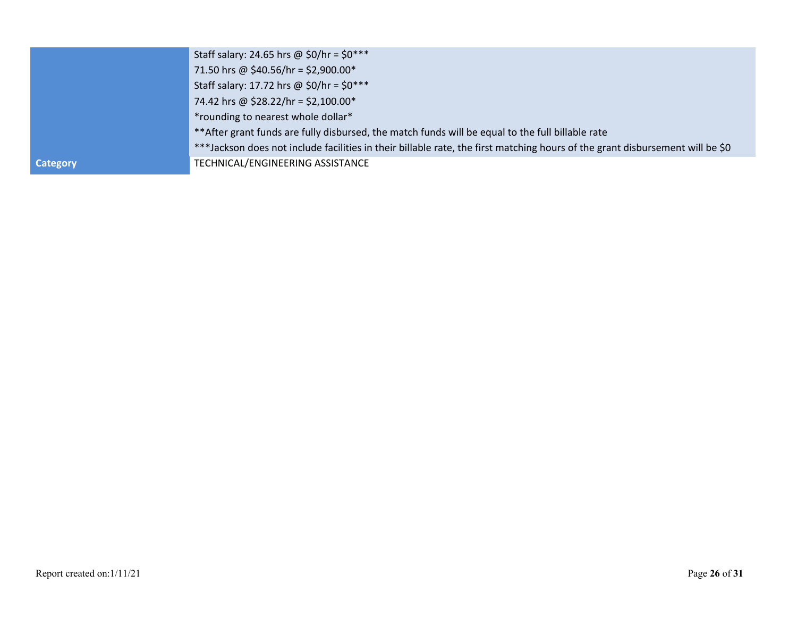|                 | Staff salary: 24.65 hrs @ \$0/hr = $$0***$                                                                                    |
|-----------------|-------------------------------------------------------------------------------------------------------------------------------|
|                 | 71.50 hrs @ \$40.56/hr = \$2,900.00*                                                                                          |
|                 | Staff salary: 17.72 hrs @ \$0/hr = $$0***$                                                                                    |
|                 | 74.42 hrs @ \$28.22/hr = \$2,100.00*                                                                                          |
|                 | *rounding to nearest whole dollar*                                                                                            |
|                 | ** After grant funds are fully disbursed, the match funds will be equal to the full billable rate                             |
|                 | ***Jackson does not include facilities in their billable rate, the first matching hours of the grant disbursement will be \$0 |
| <b>Category</b> | TECHNICAL/ENGINEERING ASSISTANCE                                                                                              |
|                 |                                                                                                                               |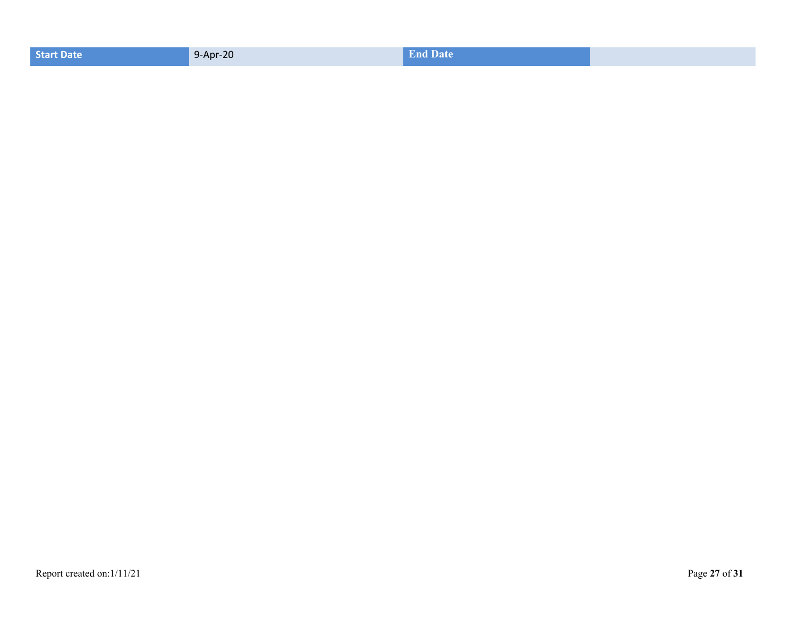| <b>Start Date</b> | 9-Apr-20 | <b>End Date</b> |  |
|-------------------|----------|-----------------|--|
|                   |          |                 |  |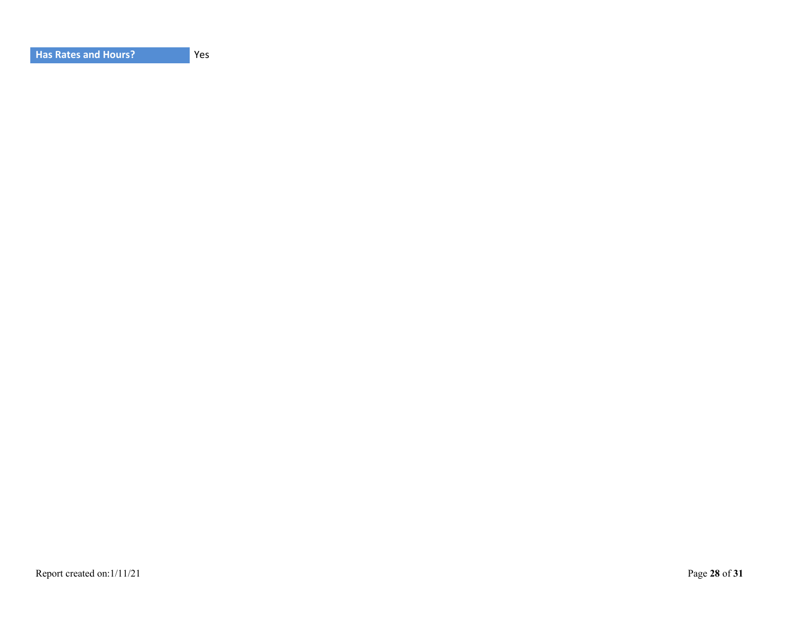**Yes**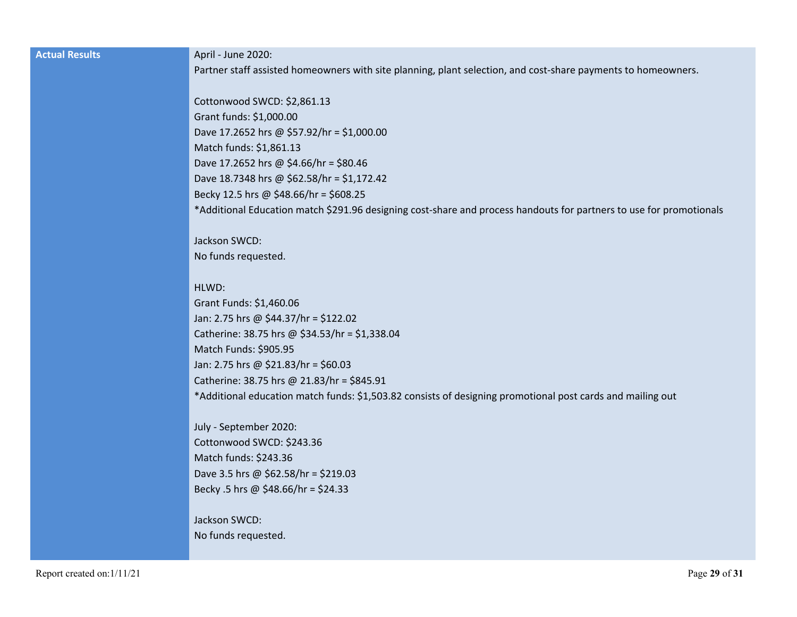| <b>Actual Results</b> |  |
|-----------------------|--|
|                       |  |
|                       |  |

#### **April - June 2020:**

Partner staff assisted homeowners with site planning, plant selection, and cost-share payments to homeowners.

Cottonwood SWCD: \$2,861.13 Grant funds: \$1,000.00 Dave 17.2652 hrs @ \$57.92/hr = \$1,000.00 Match funds: \$1,861.13 Dave 17.2652 hrs @ \$4.66/hr = \$80.46 Dave 18.7348 hrs @ \$62.58/hr = \$1,172.42 Becky 12.5 hrs @ \$48.66/hr = \$608.25 \*Additional Education match \$291.96 designing cost-share and process handouts for partners to use for promotionals

### Jackson SWCD: No funds requested.

#### HLWD:

Grant Funds: \$1,460.06 Jan: 2.75 hrs @ \$44.37/hr = \$122.02 Catherine: 38.75 hrs @ \$34.53/hr = \$1,338.04 Match Funds: \$905.95 Jan: 2.75 hrs @ \$21.83/hr = \$60.03 Catherine: 38.75 hrs @ 21.83/hr = \$845.91 \*Additional education match funds: \$1,503.82 consists of designing promotional post cards and mailing out

July - September 2020: Cottonwood SWCD: \$243.36 Match funds: \$243.36 Dave 3.5 hrs @ \$62.58/hr = \$219.03 Becky .5 hrs @ \$48.66/hr = \$24.33

# Jackson SWCD: No funds requested.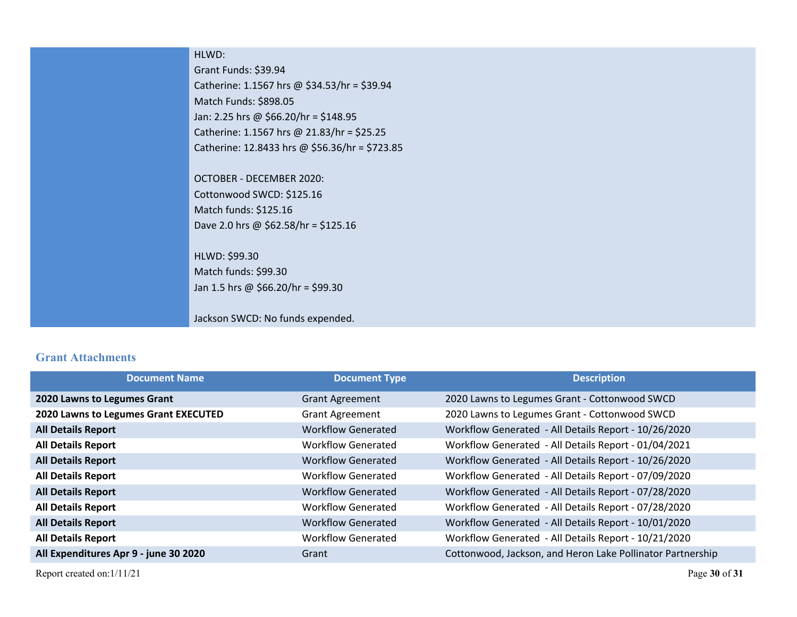| HLWD:                                          |
|------------------------------------------------|
| Grant Funds: \$39.94                           |
| Catherine: 1.1567 hrs @ \$34.53/hr = \$39.94   |
| Match Funds: \$898.05                          |
| Jan: 2.25 hrs @ \$66.20/hr = \$148.95          |
| Catherine: 1.1567 hrs @ 21.83/hr = \$25.25     |
| Catherine: 12.8433 hrs @ \$56.36/hr = \$723.85 |
|                                                |
| OCTOBER - DECEMBER 2020:                       |
| Cottonwood SWCD: \$125.16                      |
| Match funds: \$125.16                          |
| Dave 2.0 hrs @ \$62.58/hr = \$125.16           |
|                                                |
| HLWD: \$99.30                                  |
| Match funds: \$99.30                           |
| Jan 1.5 hrs @ \$66.20/hr = \$99.30             |
|                                                |
| Jackson SWCD: No funds expended.               |

# **Grant Attachments**

| <b>Document Name</b>                  | <b>Document Type</b>      | <b>Description</b>                                         |
|---------------------------------------|---------------------------|------------------------------------------------------------|
| 2020 Lawns to Legumes Grant           | <b>Grant Agreement</b>    | 2020 Lawns to Legumes Grant - Cottonwood SWCD              |
| 2020 Lawns to Legumes Grant EXECUTED  | <b>Grant Agreement</b>    | 2020 Lawns to Legumes Grant - Cottonwood SWCD              |
| <b>All Details Report</b>             | Workflow Generated        | Workflow Generated - All Details Report - 10/26/2020       |
| <b>All Details Report</b>             | Workflow Generated        | Workflow Generated - All Details Report - 01/04/2021       |
| <b>All Details Report</b>             | <b>Workflow Generated</b> | Workflow Generated - All Details Report - 10/26/2020       |
| <b>All Details Report</b>             | Workflow Generated        | Workflow Generated - All Details Report - 07/09/2020       |
| <b>All Details Report</b>             | Workflow Generated        | Workflow Generated - All Details Report - 07/28/2020       |
| <b>All Details Report</b>             | Workflow Generated        | Workflow Generated - All Details Report - 07/28/2020       |
| <b>All Details Report</b>             | <b>Workflow Generated</b> | Workflow Generated - All Details Report - 10/01/2020       |
| <b>All Details Report</b>             | Workflow Generated        | Workflow Generated - All Details Report - 10/21/2020       |
| All Expenditures Apr 9 - june 30 2020 | Grant                     | Cottonwood, Jackson, and Heron Lake Pollinator Partnership |